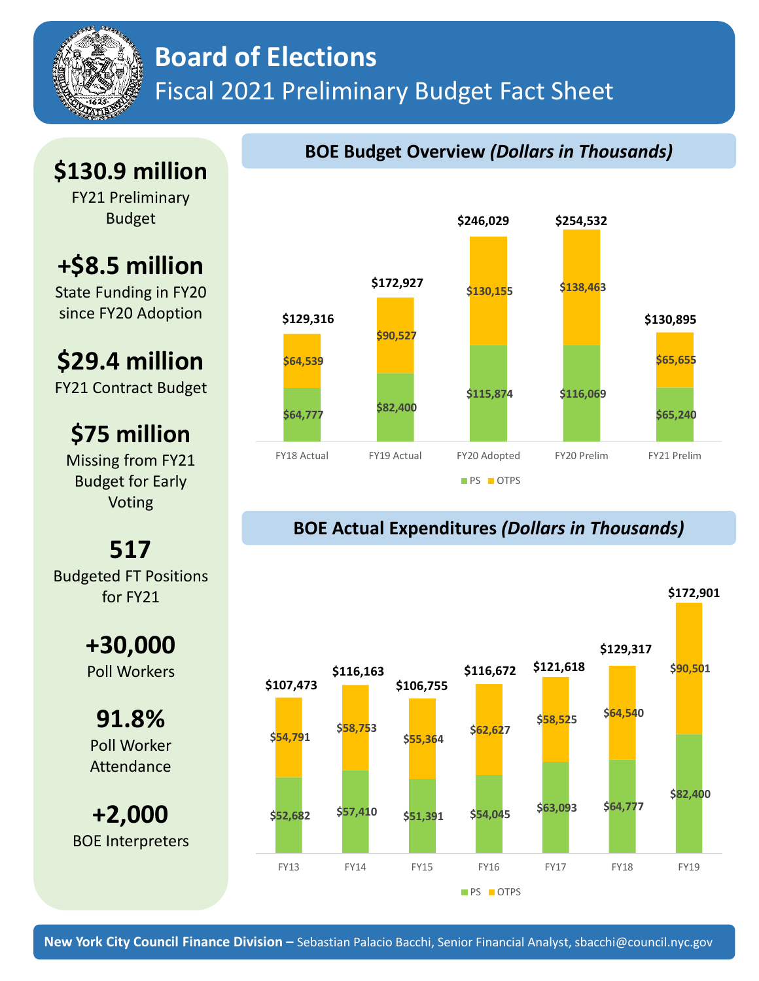

## **Board of Elections** Fiscal 2021 Preliminary Budget Fact Sheet

## **\$130.9 million**

FY21 Preliminary Budget

# **+\$8.5 million**

State Funding in FY20 since FY20 Adoption

# **\$29.4 million**

FY21 Contract Budget

### **\$75 million**

Missing from FY21 Budget for Early Voting

## **517**

Budgeted FT Positions for FY21

### **+30,000** Poll Workers

**91.8%** Poll Worker Attendance

**+2,000** BOE Interpreters



### **BOE Actual Expenditures** *(Dollars in Thousands)*



### **BOE Budget Overview** *(Dollars in Thousands)*

**\$172,901**